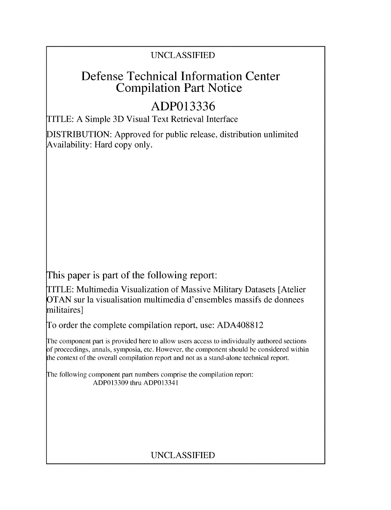# UNCLASSIFIED

# Defense Technical Information Center Compilation Part Notice

# **ADP013336**

TITLE: A Simple 3D Visual Text Retrieval Interface

DISTRIBUTION: Approved for public release, distribution unlimited Availability: Hard copy only.

This paper is part of the following report:

TITLE: Multimedia Visualization of Massive Military Datasets [Atelier OTAN sur la visualisation multimedia d'ensembles massifs de donnees militaires]

To order the complete compilation report, use: ADA408812

The component part is provided here to allow users access to individually authored sections **)f** proceedings, annals, symposia, etc. However, the component should be considered within [he context of the overall compilation report and not as a stand-alone technical report.

The following component part numbers comprise the compilation report: ADP013309 thru ADP013341

# UNCLASSIFIED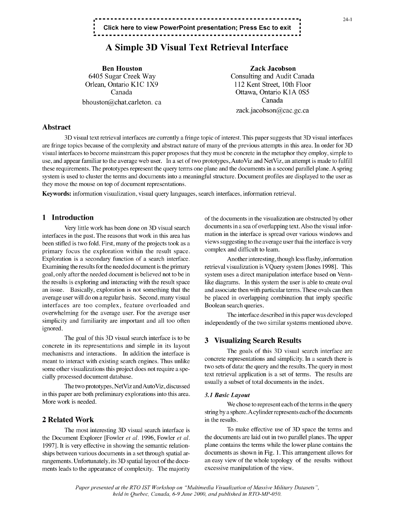### **..... 24-1 Click here to view PowerPoint presentation; Press Esc to exit**

## **A** Simple **3D** Visual Text Retrieval Interface

Ben Houston Zack Jacobson bhouston@chat.carleton. ca Canada

6405 Sugar Creek Way Consulting and Audit Canada Orlean, Ontario K1C 1X9 112 Kent Street, 10th Floor<br>Canada 0ttawa, Ontario K1A 0S5 Ottawa, Ontario K1A 0S5 zack.jacobson@cac.gc.ca

### Abstract

3D visual text retrieval interfaces are currently a fringe topic of interest. This paper suggests that 3D visual interfaces are fringe topics because of the complexity and abstract nature of many of the previous attempts in this area. In order for 3D visual interfaces to become mainstream this paper proposes that they must be concrete in the metaphor they employ, simple to use, and appear familiar to the average web user. In a set of two prototypes, AutoViz and NetViz, an attempt is made to fulfill these requirements. The prototypes represent the query terms one plane and the documents in a second parallel plane. A spring system is used to cluster the terms and documents into a meaningful structure. Document profiles are displayed to the user as they move the mouse on top of document representations.

Keywords: information visualization, visual query languages, search interfaces, information retrieval.

interfaces in the past. The reasons that work in this area has mation in the interface is spread over various windows and<br>heen stifled is two fold First many of the projects took as a views suggesting to the average user t been stifled is two fold. First, many of the projects took as a views suggesting to the average user that the exploration within the result space complex and difficult to leam. primary focus the exploration within the result space. Exploration is a secondary function of a search interface. Another interesting, though less flashy, information Examining the results for the needed document is the primary retrieval visualization is VQuery system [Jones 1998]. This goal, only after the needed document is believed not to be in system uses a direct manipulation interface based on Vennthe results is exploring and interacting with the result space like diagrams. In this system the user is able to create oval an issue. Basically, exploration is not something that the and associate then with particular terms. These ovals can then average user will do on a regular basis. Second, many visual be placed in overlapping combination that imply specific interfaces are too complex, feature overloaded and Boolean search queries. overwhelming for the average user. For the average user The interface described in this paper was developed simplicity and familiarity are important and all too often independently of the two similar systems mentioned above. ignored.

The goal of this 3D visual search interface is to be **3** Visualizing Search Results concrete in its representations and simple in its layout some other visualizations this project does not require a spe-

The two prototypes, NetViz and AutoViz, discussed in this paper are both preliminary explorations into this area. *3.1 Basic Layout* More work is needed. We chose to represent each of the terms in the query

### 2 Related Work in the results.

the Document Explorer [Fowler *et al.* 1996, Fowler *et al.* the documents are laid out in two parallel planes. The upper 19971. It is very effective in showing the semantic relation- plane contains the terms while the lower plane contains the ships between various documents in a set through spatial ar- documents as shown in Fig. 1. This arrangement allows for rangements. Unfortunately, its 3D spatial layout of the docu- an easy view of the whole topology of the results without ments leads to the appearance of complexity. The majority excessive manipulation of the view.

**1 Introduction** of the documents in the visualization are obstructed by other Very little work has been done on 3D visual search documents in a sea of overlapping text. Also the visual infor-

mechanisms and interactions. In addition the interface is The goals of this 3D visual search interface are meant to interactions. In addition the interface is concrete representations and simplicity. In a search there is meant to interact with existing search engines. Thus unlike concrete representations and simplicity. In a search there is<br>two sets of data: the query and the results. The query in most cially processed document database.<br>
The contract of terms and the results are usually a subset of total documents in the index.

string by a sphere. A cylinder represents each of the documents

The most interesting 3D visual search interface is To make effective use of 3D space the terms and

*Paper presented at the RTO IST Workshop on "Multimedia Visualization of Massive Military Datasets held in Quebec, Canada, 6-9 June 2000, and published in RTO-MP-050.*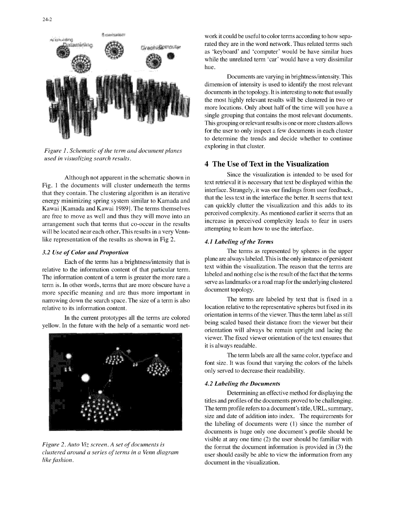

*Figure 1. Schematic of the term and document planes* exploring in that cluster. *used in visualizing search results.* 4 The Use of Text in the Visualization

Fig. 1 the documents will cluster underneath the terms text retrieval it is necessary that text be displayed within the text of the displayed within the text of the displayed within the text of the displayed within the tex that they contain. The clustering algorithm is an iterative interface. Strangely, it was our findings from user feedback, that the less text in the interface the better. It seems that text energy minimizing spring system similar to Kamada and that the less text in the interface the better. It seems that text<br>can quickly clutter the visualization and this adds to its Kawai [Kamada and Kawai 1989]. The terms themselves can quickly clutter the visualization and this adds to its<br>perceived complexity. As mentioned earlier it seems that an are free to move as well and thus they will move into an perceived complexity. As mentioned earlier it seems that an increase in perceived complexity leads to fear in users arrangement such that terms that co-occur in the results increase in perceived complexity leads to  $\frac{1}{2}$  in users  $\frac{1}{2}$  attempting to learn how to use the interface. will be located near each other. This results in a very Vennlike representation of the results as shown in Fig 2. *4.1 Labeling of the Terms*

relative to the information content of that particular term. The information content of a term is greater the more rare a labeled and nothing else is the result of the fact that the terms term is. In other words, terms that are more obscure have a serve as landmarks or a road map for the underlying clustered<br>more appearing and are thus more important in document topology. more specific meaning and are thus more important in narrowing down the search space. The size of a term is also The terms are labeled by text that is fixed in a relative to its information content. location relative to the representative spheres but fixed in its

yellow. In the future with the help of a semantic word net-



*like fashion*. **document** in the visualization.

work it could be useful to color terms according to how separated they are in the word network. Thus related terms such as 'keyboard' and 'computer' would be have similar hues while the unrelated term 'car' would have a very dissimilar hue.

Documents are varying in brightness/intensity. This dimension of intensity is used to identify the most relevant documents in the topology. It is interesting to note that usually the most highly relevant results will be clustered in two or more locations. Only about half of the time will you have a single grouping that contains the most relevant documents. This grouping or relevant results is one or more clusters allows for the user to only inspect a few documents in each cluster to determine the trends and decide whether to continue

Although not apparent in the schematic shown in<br>
text retrieval it is necessary that text be displayed within the<br>
text retrieval it is necessary that text be displayed within the

**3.2** *Use of Color and Proportion* The terms as represented by spheres in the upper Each of the terms has a brightness/intensity that is plane are always labeled. This is the only instance of persistent text with the visualization. The reason that the terms are

In the current prototypes all the terms are colored orientation in terms of the viewer. Thus the term label as still<br>being scaled based their distance from the viewer but their orientation will always be remain upright and lacing the viewer. The fixed viewer orientation of the text ensures that it is always readable.

> The term labels are all the same color, typeface and font size. It was found that varying the colors of the labels only served to decrease their readability.

### *4.2 Labeling the Documents*

Determining an effective method for displaying the titles and profiles of the documents proved to be challenging. The term profile refers to a document's title, URL, summary, size and date of addition into index. The requirements for the labeling of documents were (1) since the number of documents is huge only one document's profile should be visible at any one time (2) the user should be familiar with *Figure 2. Auto Viz screen. A set of documents is* the format the document information is provided in (3) the *clustered around a series of terms in a Venn diagram* user should easily be able to view the information from any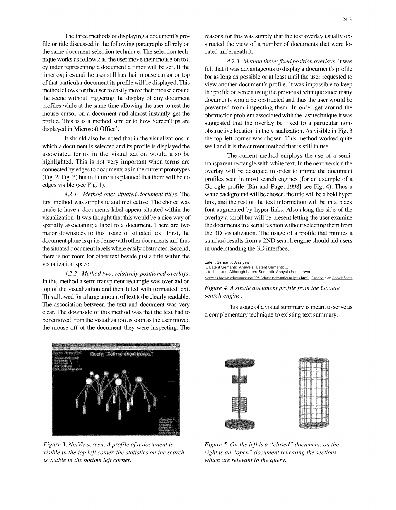file or title discussed in the following paragraphs all rely on structed the view of a number of documents that were lothe same document selection technique. The selection tech- cated underneath it. nique works as follows: as the user move their mouse on to a *4.2.3 Method three:fixedposition overlays.* It was method allows for the user to easily move their mouse around the profile on screen using the previous technique since many

which a document is selected and its profile is displayed the well and it is the current method that is still in use. associated terms in the visualization would also be The current method employs the use of a semi-

first method was simplistic and ineffective. The choice was link, and the rest of the text information will be in a black made to have a documents label appear situated within the font augmented by hyper links. Also along the side of the visualization. It was thought that this would be a nice way of overlay a scroll bar will be present letting the user examine spatially associating a label to a document. There are two the documents in a serial fashion without selecting them from major downsides to this usage of situated text. First, the the 3D visualization. The usage of a profile that mimics a document plane is quite dense with other documents and thus standard results from a 2ND search engine should aid users the situated document labels where easily obstructed. Second, in understanding the 3D interface. there is not room for other text beside just a title within the visualization space. Latent Semantic Analysis . Latent Semantic Analysis. Latent Semantic...

*4.2.2 Method two: relatively positioned overlays.* the enniques. Although Latent Semantic Anaysis has shown...<br>www.cs.brown.edu/courses/cs295-3/latentsemanticanalysis.html Cached *• 4K* GoogleScout In this method a semi transparent rectangle was overlaid on top of the visualization and then filled with formatted text. *Figure 4. A single document profile from the Google* This allowed for a large amount of text to be clearly readable, *search engine.* The association between the text and document was very This usage of a visual summary is meant to serve as clear. The downside of this method was that the text had to a complementary technique to existing text summary. be removed from the visualization as soon as the user moved the mouse off of the document they were inspecting. The

arman Cuery: "Tell me about troops i~ **z**

*Figure 3. NetViz screen. A profile of a document is Figure 5. On the left is a "closed" document, on the visible in the top left comer, the statistics on the search right is an "open" document revealing the sections is visible in the bottom left corner, which are relevant to the query.*

cylinder representing a document a timer will be set. If the felt that it was advantageous to display a document's profile timer expires and the user still has their mouse cursor on top for as long as possible or at least until the user requested to of that particular document its profile will be displayed. This view another document's profile. It was impossible to keep the scene without triggering the display of any document documents would be obstructed and thus the user would be profiles while at the same time allowing the user to rest the prevented from inspecting them. In order get around the mouse cursor on a document and almost instantly get the obstruction problem associated with the last technique it was profile. This is a method similar to how ScreenTips are suggested that the overlay be fixed to a particular nondisplayed in Microsoft Office'. obstructive location in the visualization. As visible in Fig. 3 It should also be noted that in the visualizations in the top left comer was chosen. This method worked quite

highlighted. This is not very important when terms are transparent rectangle with white text. In the next version the connected by edges to documents as in the current prototypes overlay will be designed in order to mimic the document  $(Fig. 2, Fig. 3)$  bui in future it is planned that there will be no profiles seen in most search engines (for an example of a edges visible (see Fig. 1). Go-ogle profile [Bin and Page, 19981 see Fig. 4). Thus a *4.2.1 Method one: situated document titles.* The white background will be chosen, the title will be a bold hyper

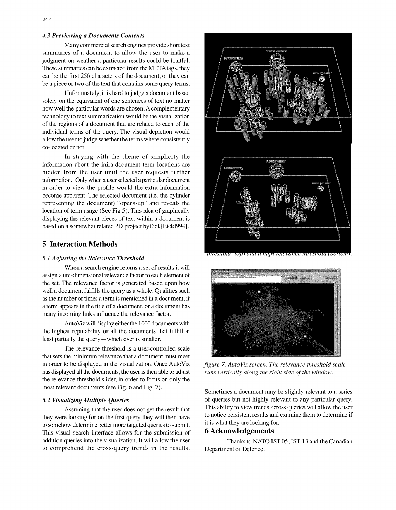### *4.3 Previewing a Documents Contents*

Many commercial search engines provide short text summaries of a document to allow the user to make a judgment on weather a particular results could be fruitful. These summaries can be extracted from the META tags, they can be the first 256 characters of the document, or they can be a piece or two of the text that contains some query terms.

Unfortunately, it is hard to judge a document based solely on the equivalent of one sentences of text no matter how well the particular words are chosen. A complementary technology to text summarization would be the visualization of the regions of a document that are related to each of the individual terms of the query. The visual depiction would allow the user to judge whether the terms where consistently co-located or not.

In staying with the theme of simplicity the information about the inira-document term locations are hidden from the user until the user requests further information. Only when a user selected a particular document in order to view the profile would the extra information become apparent. The selected document (i.e. the cylinder representing the document) "opens-up" and reveals the location of term usage (See Fig 5). This idea of graphically displaying the relevant pieces of text within a document is based on a somewhat related 2D project byEick[Eickl994j.

### 5 Interaction Methods

### *5.1 Adjusting the Relevance Threshold*

When a search engine returns a set of results it will assign a uni-dimensional relevance factor to each element of the set. The relevance factor is generated based upon how well a document fulfills the query as a whole. Qualities such as the number of times a term is mentioned in a document, if a term appears in the title of a document, or a document has many incoming links influence the relevance factor.

AutoViz will display either the 1000 documents with the highest reputability or all the documents that fullill ai least partially the query-which ever is smaller.

The relevance threshold is a user-controlled scale that sets the minimum relevance that a document must meet in order to be displayed in the visualization. Once AutoViz *figure* 7. *AutoViz screen. The relevance threshold scale* has displayed all the documents, the user is then able to adjust *runs vertically along the right side of the window.* the relevance threshold slider, in order to focus on only the most relevant documents (see Fig. 6 and Fig. 7). Sometimes a document may be slightly relevant to a series

they were looking for on the first query they will then have to notice persistent results and to somehow determine better more targeted queries to submit it is what they are looking for. to somehow determine better more targeted queries to submit. It is what they are looking to<br>This visual search interface allows for the submission of **6** Acknowledgements This visual search interface allows for the submission of addition queries into the visualization. It will allow the user Thanks to NATO IST-05, IST-13 and the Canadian to comprehend the cross-query trends in the results. Department of Defence.



nresnoia (10p) ana a mgn retevance inresnoia (pottom)



*5.2 Visualizing Multiple Queries* of queries but not highly relevant to any particular query. Assuming that the user does not get the result that This ability to view trends across queries will allow the user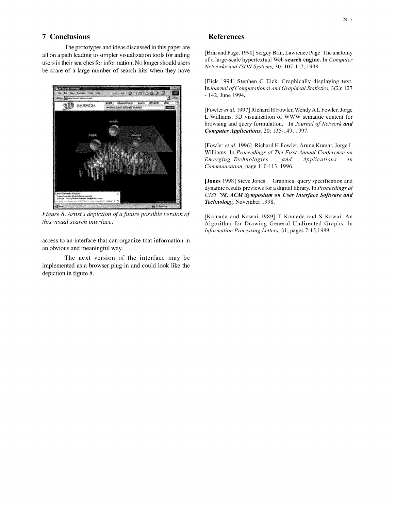### 7 Conclusions References

The prototypes and ideas discussed in this paper are be scare of a large number of search hits when they have



*Figure 8. Artist's depiction of a future possible version of* [Kamada and Kawai 1989] T Kamada and S Kawai. An

access to an interface that can organize that information in an obvious and meaningful way.

The next version of the interface may be implemented as a browser plug-in and could look like the depiction in figure 8.

all on a path leading to simpler visualization tools for aiding [Brin and Page, 1998] Sergey Brin, Lawrence Page. The anatomy users in their searches for information. No longer should users of a large-scale hypertextual Web **search engine.** In *Computer*<br>Networks and ISDN Systems, 30: 107-117, 1998.

> [Eick 1994] Stephen G Eick. Graphically displaying text. *InIournal of Computational and Graphical Statistics,* 3(2): 127  $-142$ , June 1994.

> [Fowler *et al.* 1997] Richard H Fowler, Wendy A L Fowler, Jorge L Williams. 3D visualization of WWW semantic content for browsing and query formulation. In *Journal of Network and Computer Applications,* 20: 135-149, 1997.

> [Fowler *et al.* 1996] Richard H Fowler, Aruna Kumar, Jorge L Williams. In *Proceedings of The First Annual Conference on Emerging Technologies and Applications in Communication,* page 110-113, 1996.

> [Jones 1998] Steve Jones. Graphical query specification and dynamic results previews for a digital library. In *Proceedings of* \* *UIST '98, ACM Symposium on User Interface Software and Technology,* November 1998.

*this visual search interface.* Algorithm for Drawing General Undirected Graphs. In *Information Processing Letters,* 31, pages 7-15,1989.